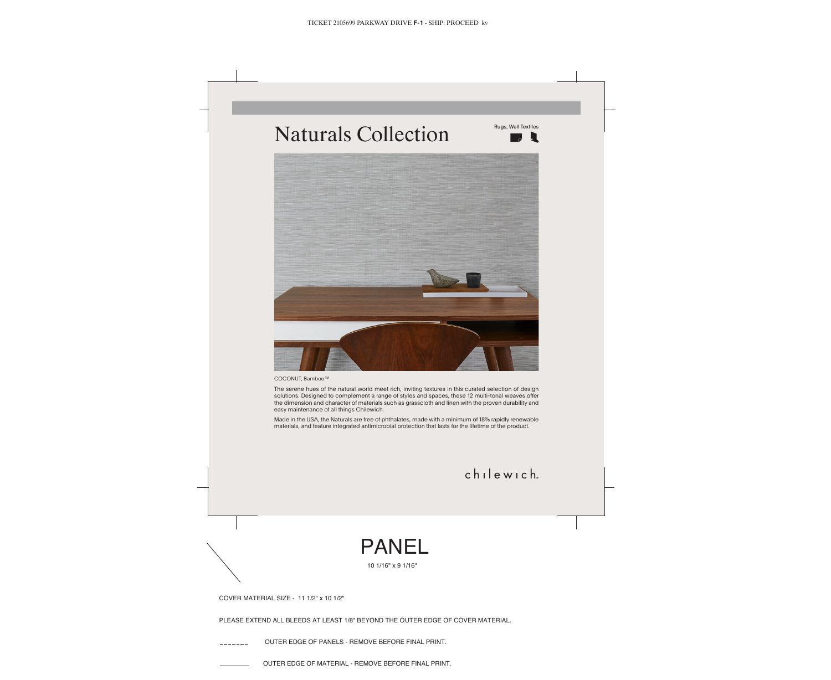COVER MATERIAL SIZE - 11 1/2" x 10 1/2"

PLEASE EXTEND ALL BLEEDS AT LEAST 1/8" BEYOND THE OUTER EDGE OF COVER MATERIAL.

OUTER EDGE OF PANELS - REMOVE BEFORE FINAL PRINT.

OUTER EDGE OF MATERIAL - REMOVE BEFORE FINAL PRINT.